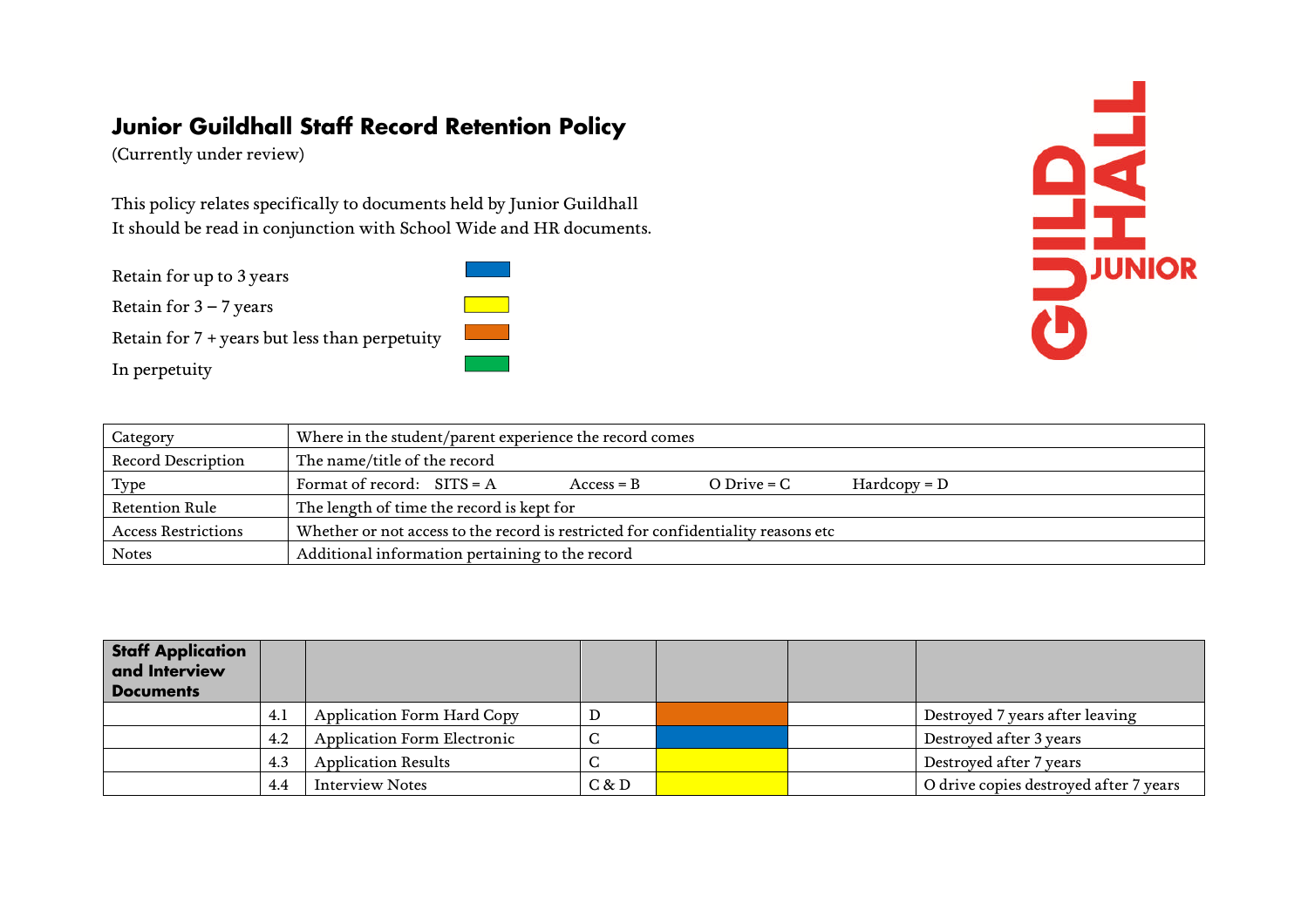## **Junior Guildhall Staff Record Retention Policy**

(Currently under review)

This policy relates specifically to documents held by Junior Guildhall It should be read in conjunction with School Wide and HR documents.

Retain for up to 3 years

Retain for  $3 - 7$  years

 $\begin{bmatrix} 1 & 0 \\ 0 & 0 \end{bmatrix}$ Retain for 7 + years but less than perpetuity

In perpetuity



| Category                   | Where in the student/parent experience the record comes                            |  |  |  |
|----------------------------|------------------------------------------------------------------------------------|--|--|--|
| <b>Record Description</b>  | The name/title of the record                                                       |  |  |  |
| Type                       | Format of record: $SITS = A$<br>$O$ Drive = $C$<br>$Hardcopy = D$<br>$Access = B$  |  |  |  |
| Retention Rule             | The length of time the record is kept for                                          |  |  |  |
| <b>Access Restrictions</b> | Whether or not access to the record is restricted for confidentiality reasons etc. |  |  |  |
| <b>Notes</b>               | Additional information pertaining to the record                                    |  |  |  |

| <b>Staff Application</b><br>and Interview |     |                             |       |  |                                        |
|-------------------------------------------|-----|-----------------------------|-------|--|----------------------------------------|
| <b>Documents</b>                          |     |                             |       |  |                                        |
|                                           | 4.1 | Application Form Hard Copy  |       |  | Destroyed 7 years after leaving        |
|                                           | 4.2 | Application Form Electronic |       |  | Destroyed after 3 years                |
|                                           | 4.3 | <b>Application Results</b>  |       |  | Destroyed after 7 years                |
|                                           | 4.4 | <b>Interview Notes</b>      | C & D |  | O drive copies destroyed after 7 years |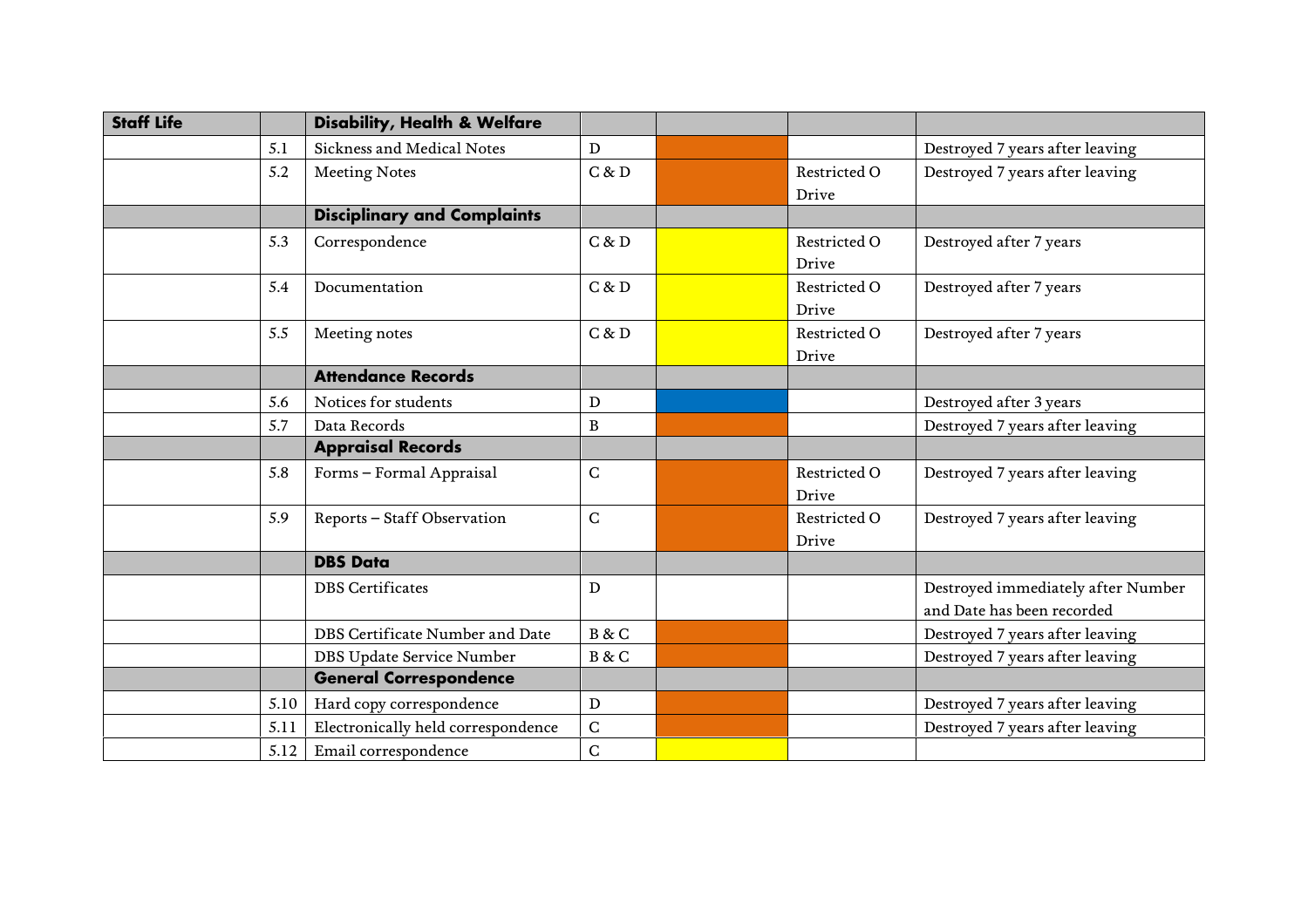| <b>Staff Life</b> |      | <b>Disability, Health &amp; Welfare</b> |             |              |                                    |
|-------------------|------|-----------------------------------------|-------------|--------------|------------------------------------|
|                   | 5.1  | Sickness and Medical Notes              | ${\bf D}$   |              | Destroyed 7 years after leaving    |
|                   | 5.2  | <b>Meeting Notes</b>                    | C & D       | Restricted O | Destroyed 7 years after leaving    |
|                   |      |                                         |             | Drive        |                                    |
|                   |      | <b>Disciplinary and Complaints</b>      |             |              |                                    |
|                   | 5.3  | Correspondence                          | C & D       | Restricted O | Destroyed after 7 years            |
|                   |      |                                         |             | Drive        |                                    |
|                   | 5.4  | Documentation                           | C & D       | Restricted O | Destroyed after 7 years            |
|                   |      |                                         |             | Drive        |                                    |
|                   | 5.5  | Meeting notes                           | C & D       | Restricted O | Destroyed after 7 years            |
|                   |      |                                         |             | Drive        |                                    |
|                   |      | <b>Attendance Records</b>               |             |              |                                    |
|                   | 5.6  | Notices for students                    | $\mathbf D$ |              | Destroyed after 3 years            |
|                   | 5.7  | Data Records                            | $\bf{B}$    |              | Destroyed 7 years after leaving    |
|                   |      | <b>Appraisal Records</b>                |             |              |                                    |
|                   | 5.8  | Forms - Formal Appraisal                | $\mathsf C$ | Restricted O | Destroyed 7 years after leaving    |
|                   |      |                                         |             | Drive        |                                    |
|                   | 5.9  | Reports - Staff Observation             | ${\bf C}$   | Restricted O | Destroyed 7 years after leaving    |
|                   |      |                                         |             | Drive        |                                    |
|                   |      | <b>DBS Data</b>                         |             |              |                                    |
|                   |      | <b>DBS</b> Certificates                 | D           |              | Destroyed immediately after Number |
|                   |      |                                         |             |              | and Date has been recorded         |
|                   |      | DBS Certificate Number and Date         | B & C       |              | Destroyed 7 years after leaving    |
|                   |      | DBS Update Service Number               | B & C       |              | Destroyed 7 years after leaving    |
|                   |      | <b>General Correspondence</b>           |             |              |                                    |
|                   | 5.10 | Hard copy correspondence                | $\mathbf D$ |              | Destroyed 7 years after leaving    |
|                   | 5.11 | Electronically held correspondence      | ${\bf C}$   |              | Destroyed 7 years after leaving    |
|                   | 5.12 | Email correspondence                    | ${\bf C}$   |              |                                    |